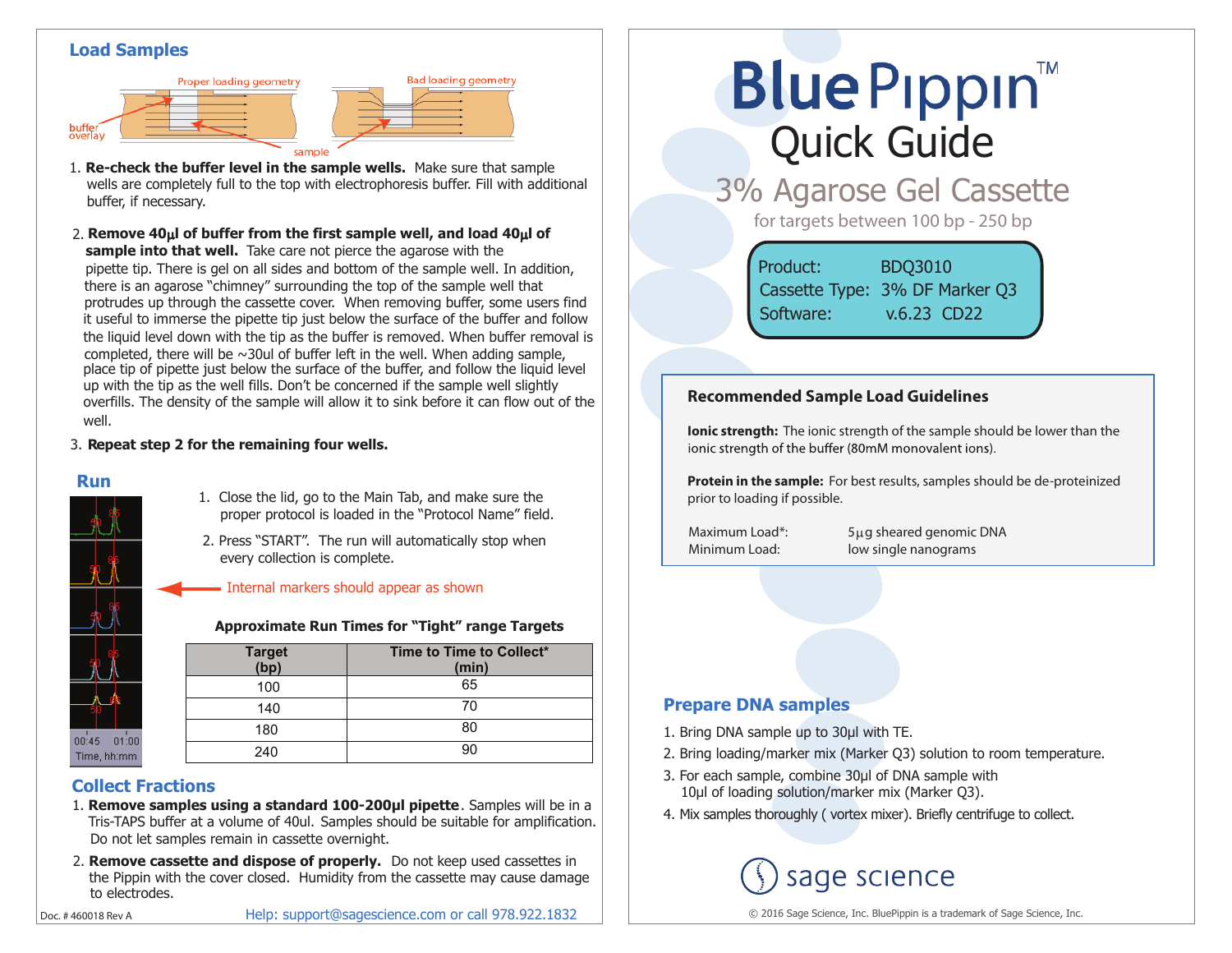#### **Load Samples**





**Bad loading geometry** 

**sample into that well.** Take care not pierce the agarose with the pipette tip. There is gel on all sides and bottom of the sample well. In addition, there is an agarose "chimney" surrounding the top of the sample well that protrudes up through the cassette cover. When removing buffer, some users find it useful to immerse the pipette tip just below the surface of the buffer and follow the liquid level down with the tip as the buffer is removed. When buffer removal is completed, there will be  $\sim$ 30ul of buffer left in the well. When adding sample, place tip of pipette just below the surface of the buffer, and follow the liquid level up with the tip as the well fills. Don't be concerned if the sample well slightly overfills. The density of the sample will allow it to sink before it can flow out of the well. 2. **Remove 40**µ**l of buffer from the first sample well, and load 40**µ**l of**

#### 3. **Repeat step 2 for the remaining four wells.**

#### **Run**



#### 1. Close the lid, go to the Main Tab, and make sure the proper protocol is loaded in the "Protocol Name" field.

2. Press "START". The run will automatically stop when every collection is complete.

#### Internal markers should appear as shown

#### **Approximate Run Times for "Tight" range Targets**

| Target<br>(bp) | Time to Time to Collect*<br>(min) |
|----------------|-----------------------------------|
| 100            | 65                                |
| 140            | 70                                |
| 180            |                                   |
| 240            |                                   |

# **Collect Fractions**

- Tris-TAPS buffer at a volume of 40ul. Samples should be suitable for amplification. 1. **Remove samples using a standard 100-200µl pipette**. Samples will be in a Do not let samples remain in cassette overnight.
- 2. **Remove cassette and dispose of properly.** Do not keep used cassettes in the Pippin with the cover closed. Humidity from the cassette may cause damage to electrodes.

Help: support@sagescience.com or call 978.922.1832

# **Blue Pippin** Quick Guide

3% Agarose Gel Cassette

for targets between 100 bp - 250 bp

Product: BDQ3010 Cassette Type: 3% DF Marker Q3 Software: v.6.23 CD22

#### **Recommended Sample Load Guidelines**

**Ionic strength:** The ionic strength of the sample should be lower than the jonic strength of the buffer (80mM monovalent jons).

**Protein in the sample:** For best results, samples should be de-proteinized prior to loading if possible.

Maximum Load\*: 5µg sheared genomic DNA Minimum Load: low single nanograms

### **Prepare DNA samples**

- 1. Bring DNA sample up to 30μl with TE.
- 2. Bring loading/marker mix (Marker Q3) solution to room temperature.
- 3. For each sample, combine 30μl of DNA sample with 10μl of loading solution/marker mix (Marker Q3).
- 4. Mix samples thoroughly ( vortex mixer). Briefly centrifuge to collect.

# sage science

© 2016 Sage Science, Inc. BluePippin is a trademark of Sage Science, Inc.